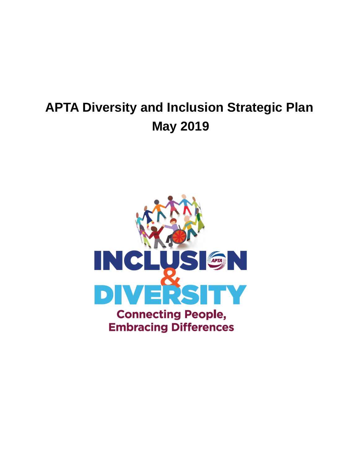# **APTA Diversity and Inclusion Strategic Plan May 2019**

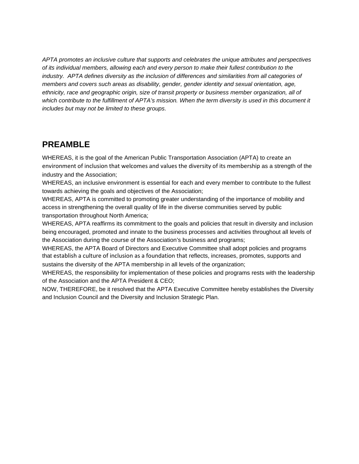*APTA promotes an inclusive culture that supports and celebrates the unique attributes and perspectives of its individual members, allowing each and every person to make their fullest contribution to the industry. APTA defines diversity as the inclusion of differences and similarities from all categories of members and covers such areas as disability, gender, gender identity and sexual orientation, age, ethnicity, race and geographic origin, size of transit property or business member organization, all of which contribute to the fulfillment of APTA's mission. When the term diversity is used in this document it includes but may not be limited to these groups.*

### **PREAMBLE**

WHEREAS, it is the goal of the American Public Transportation Association (APTA) to create an environment of inclusion that welcomes and values the diversity of its membership as a strength of the industry and the Association;

WHEREAS, an inclusive environment is essential for each and every member to contribute to the fullest towards achieving the goals and objectives of the Association;

WHEREAS, APTA is committed to promoting greater understanding of the importance of mobility and access in strengthening the overall quality of life in the diverse communities served by public transportation throughout North America;

WHEREAS, APTA reaffirms its commitment to the goals and policies that result in diversity and inclusion being encouraged, promoted and innate to the business processes and activities throughout all levels of the Association during the course of the Association's business and programs;

WHEREAS, the APTA Board of Directors and Executive Committee shall adopt policies and programs that establish a culture of inclusion as a foundation that reflects, increases, promotes, supports and sustains the diversity of the APTA membership in all levels of the organization;

WHEREAS, the responsibility for implementation of these policies and programs rests with the leadership of the Association and the APTA President & CEO;

NOW, THEREFORE, be it resolved that the APTA Executive Committee hereby establishes the Diversity and Inclusion Council and the Diversity and Inclusion Strategic Plan.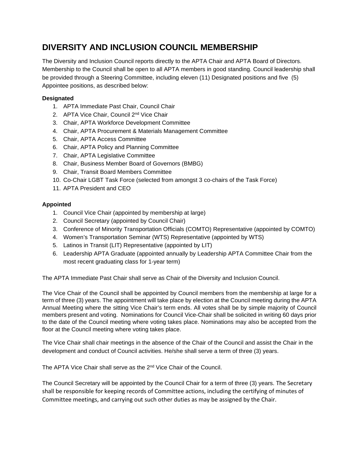## **DIVERSITY AND INCLUSION COUNCIL MEMBERSHIP**

The Diversity and Inclusion Council reports directly to the APTA Chair and APTA Board of Directors. Membership to the Council shall be open to all APTA members in good standing. Council leadership shall be provided through a Steering Committee, including eleven (11) Designated positions and five (5) Appointee positions, as described below:

### **Designated**

- 1. APTA Immediate Past Chair, Council Chair
- 2. APTA Vice Chair, Council 2<sup>nd</sup> Vice Chair
- 3. Chair, APTA Workforce Development Committee
- 4. Chair, APTA Procurement & Materials Management Committee
- 5. Chair, APTA Access Committee
- 6. Chair, APTA Policy and Planning Committee
- 7. Chair, APTA Legislative Committee
- 8. Chair, Business Member Board of Governors (BMBG)
- 9. Chair, Transit Board Members Committee
- 10. Co-Chair LGBT Task Force (selected from amongst 3 co-chairs of the Task Force)
- 11. APTA President and CEO

### **Appointed**

- 1. Council Vice Chair (appointed by membership at large)
- 2. Council Secretary (appointed by Council Chair)
- 3. Conference of Minority Transportation Officials (COMTO) Representative (appointed by COMTO)
- 4. Women's Transportation Seminar (WTS) Representative (appointed by WTS)
- 5. Latinos in Transit (LIT) Representative (appointed by LIT)
- 6. Leadership APTA Graduate (appointed annually by Leadership APTA Committee Chair from the most recent graduating class for 1-year term)

The APTA Immediate Past Chair shall serve as Chair of the Diversity and Inclusion Council.

The Vice Chair of the Council shall be appointed by Council members from the membership at large for a term of three (3) years. The appointment will take place by election at the Council meeting during the APTA Annual Meeting where the sitting Vice Chair's term ends. All votes shall be by simple majority of Council members present and voting. Nominations for Council Vice-Chair shall be solicited in writing 60 days prior to the date of the Council meeting where voting takes place. Nominations may also be accepted from the floor at the Council meeting where voting takes place.

The Vice Chair shall chair meetings in the absence of the Chair of the Council and assist the Chair in the development and conduct of Council activities. He/she shall serve a term of three (3) years.

The APTA Vice Chair shall serve as the 2<sup>nd</sup> Vice Chair of the Council.

The Council Secretary will be appointed by the Council Chair for a term of three (3) years. The Secretary shall be responsible for keeping records of Committee actions, including the certifying of minutes of Committee meetings, and carrying out such other duties as may be assigned by the Chair.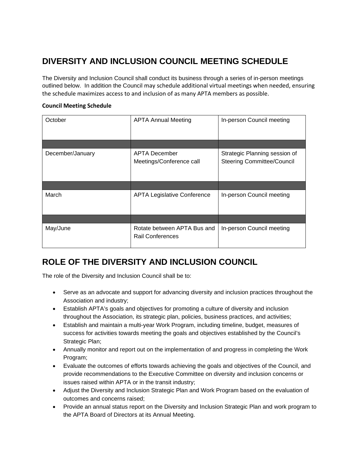# **DIVERSITY AND INCLUSION COUNCIL MEETING SCHEDULE**

The Diversity and Inclusion Council shall conduct its business through a series of in-person meetings outlined below. In addition the Council may schedule additional virtual meetings when needed, ensuring the schedule maximizes access to and inclusion of as many APTA members as possible.

#### **Council Meeting Schedule**

| October          | <b>APTA Annual Meeting</b>                             | In-person Council meeting                                          |
|------------------|--------------------------------------------------------|--------------------------------------------------------------------|
|                  |                                                        |                                                                    |
| December/January | <b>APTA December</b><br>Meetings/Conference call       | Strategic Planning session of<br><b>Steering Committee/Council</b> |
|                  |                                                        |                                                                    |
| March            | <b>APTA Legislative Conference</b>                     | In-person Council meeting                                          |
|                  |                                                        |                                                                    |
| May/June         | Rotate between APTA Bus and<br><b>Rail Conferences</b> | In-person Council meeting                                          |

# **ROLE OF THE DIVERSITY AND INCLUSION COUNCIL**

The role of the Diversity and Inclusion Council shall be to:

- Serve as an advocate and support for advancing diversity and inclusion practices throughout the Association and industry;
- Establish APTA's goals and objectives for promoting a culture of diversity and inclusion throughout the Association, its strategic plan, policies, business practices, and activities;
- Establish and maintain a multi-year Work Program, including timeline, budget, measures of success for activities towards meeting the goals and objectives established by the Council's Strategic Plan;
- Annually monitor and report out on the implementation of and progress in completing the Work Program;
- Evaluate the outcomes of efforts towards achieving the goals and objectives of the Council, and provide recommendations to the Executive Committee on diversity and inclusion concerns or issues raised within APTA or in the transit industry;
- Adjust the Diversity and Inclusion Strategic Plan and Work Program based on the evaluation of outcomes and concerns raised;
- Provide an annual status report on the Diversity and Inclusion Strategic Plan and work program to the APTA Board of Directors at its Annual Meeting.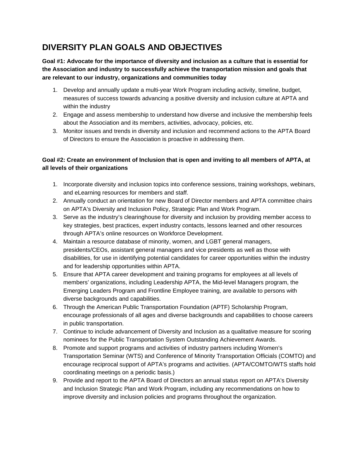# **DIVERSITY PLAN GOALS AND OBJECTIVES**

**Goal #1: Advocate for the importance of diversity and inclusion as a culture that is essential for the Association and industry to successfully achieve the transportation mission and goals that are relevant to our industry, organizations and communities today** 

- 1. Develop and annually update a multi-year Work Program including activity, timeline, budget, measures of success towards advancing a positive diversity and inclusion culture at APTA and within the industry
- 2. Engage and assess membership to understand how diverse and inclusive the membership feels about the Association and its members, activities, advocacy, policies, etc.
- 3. Monitor issues and trends in diversity and inclusion and recommend actions to the APTA Board of Directors to ensure the Association is proactive in addressing them.

### **Goal #2: Create an environment of Inclusion that is open and inviting to all members of APTA, at all levels of their organizations**

- 1. Incorporate diversity and inclusion topics into conference sessions, training workshops, webinars, and eLearning resources for members and staff.
- 2. Annually conduct an orientation for new Board of Director members and APTA committee chairs on APTA's Diversity and Inclusion Policy, Strategic Plan and Work Program.
- 3. Serve as the industry's clearinghouse for diversity and inclusion by providing member access to key strategies, best practices, expert industry contacts, lessons learned and other resources through APTA's online resources on Workforce Development.
- 4. Maintain a resource database of minority, women, and LGBT general managers, presidents/CEOs, assistant general managers and vice presidents as well as those with disabilities, for use in identifying potential candidates for career opportunities within the industry and for leadership opportunities within APTA.
- 5. Ensure that APTA career development and training programs for employees at all levels of members' organizations, including Leadership APTA, the Mid-level Managers program, the Emerging Leaders Program and Frontline Employee training, are available to persons with diverse backgrounds and capabilities.
- 6. Through the American Public Transportation Foundation (APTF) Scholarship Program, encourage professionals of all ages and diverse backgrounds and capabilities to choose careers in public transportation.
- 7. Continue to include advancement of Diversity and Inclusion as a qualitative measure for scoring nominees for the Public Transportation System Outstanding Achievement Awards.
- 8. Promote and support programs and activities of industry partners including Women's Transportation Seminar (WTS) and Conference of Minority Transportation Officials (COMTO) and encourage reciprocal support of APTA's programs and activities. (APTA/COMTO/WTS staffs hold coordinating meetings on a periodic basis.)
- 9. Provide and report to the APTA Board of Directors an annual status report on APTA's Diversity and Inclusion Strategic Plan and Work Program, including any recommendations on how to improve diversity and inclusion policies and programs throughout the organization.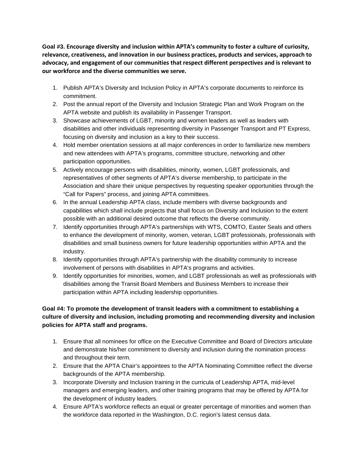**Goal #3. Encourage diversity and inclusion within APTA's community to foster a culture of curiosity, relevance, creativeness, and innovation in our business practices, products and services, approach to advocacy, and engagement of our communities that respect different perspectives and is relevant to our workforce and the diverse communities we serve.**

- 1. Publish APTA's Diversity and Inclusion Policy in APTA's corporate documents to reinforce its commitment.
- 2. Post the annual report of the Diversity and Inclusion Strategic Plan and Work Program on the APTA website and publish its availability in Passenger Transport.
- 3. Showcase achievements of LGBT, minority and women leaders as well as leaders with disabilities and other individuals representing diversity in Passenger Transport and PT Express, focusing on diversity and inclusion as a key to their success.
- 4. Hold member orientation sessions at all major conferences in order to familiarize new members and new attendees with APTA's programs, committee structure, networking and other participation opportunities.
- 5. Actively encourage persons with disabilities, minority, women, LGBT professionals, and representatives of other segments of APTA's diverse membership, to participate in the Association and share their unique perspectives by requesting speaker opportunities through the "Call for Papers" process, and joining APTA committees.
- 6. In the annual Leadership APTA class, include members with diverse backgrounds and capabilities which shall include projects that shall focus on Diversity and Inclusion to the extent possible with an additional desired outcome that reflects the diverse community.
- 7. Identify opportunities through APTA's partnerships with WTS, COMTO, Easter Seals and others to enhance the development of minority, women, veteran, LGBT professionals, professionals with disabilities and small business owners for future leadership opportunities within APTA and the industry.
- 8. Identify opportunities through APTA's partnership with the disability community to increase involvement of persons with disabilities in APTA's programs and activities.
- 9. Identify opportunities for minorities, women, and LGBT professionals as well as professionals with disabilities among the Transit Board Members and Business Members to increase their participation within APTA including leadership opportunities.

### **Goal #4: To promote the development of transit leaders with a commitment to establishing a culture of diversity and inclusion, including promoting and recommending diversity and inclusion policies for APTA staff and programs.**

- 1. Ensure that all nominees for office on the Executive Committee and Board of Directors articulate and demonstrate his/her commitment to diversity and inclusion during the nomination process and throughout their term.
- 2. Ensure that the APTA Chair's appointees to the APTA Nominating Committee reflect the diverse backgrounds of the APTA membership.
- 3. Incorporate Diversity and Inclusion training in the curricula of Leadership APTA, mid-level managers and emerging leaders, and other training programs that may be offered by APTA for the development of industry leaders.
- 4. Ensure APTA's workforce reflects an equal or greater percentage of minorities and women than the workforce data reported in the Washington, D.C. region's latest census data.